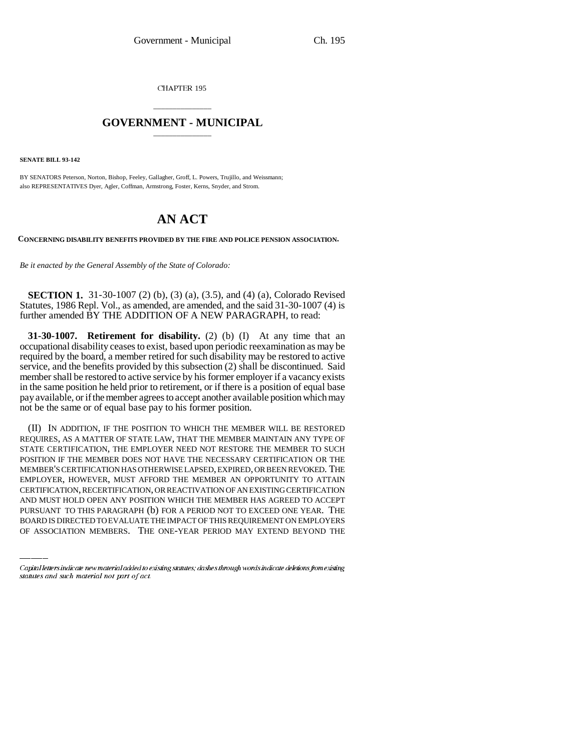CHAPTER 195

## \_\_\_\_\_\_\_\_\_\_\_\_\_\_\_ **GOVERNMENT - MUNICIPAL** \_\_\_\_\_\_\_\_\_\_\_\_\_\_\_

**SENATE BILL 93-142**

BY SENATORS Peterson, Norton, Bishop, Feeley, Gallagher, Groff, L. Powers, Trujillo, and Weissmann; also REPRESENTATIVES Dyer, Agler, Coffman, Armstrong, Foster, Kerns, Snyder, and Strom.

## **AN ACT**

**CONCERNING DISABILITY BENEFITS PROVIDED BY THE FIRE AND POLICE PENSION ASSOCIATION.**

*Be it enacted by the General Assembly of the State of Colorado:*

**SECTION 1.** 31-30-1007 (2) (b), (3) (a), (3.5), and (4) (a), Colorado Revised Statutes, 1986 Repl. Vol., as amended, are amended, and the said 31-30-1007 (4) is further amended BY THE ADDITION OF A NEW PARAGRAPH, to read:

**31-30-1007.** Retirement for disability. (2) (b) (I) At any time that an occupational disability ceases to exist, based upon periodic reexamination as may be required by the board, a member retired for such disability may be restored to active service, and the benefits provided by this subsection (2) shall be discontinued. Said member shall be restored to active service by his former employer if a vacancy exists in the same position he held prior to retirement, or if there is a position of equal base pay available, or if the member agrees to accept another available position which may not be the same or of equal base pay to his former position.

CERTIFICATION, RECERTIFICATION, OR REACTIVATION OF AN EXISTING CERTIFICATION (II) IN ADDITION, IF THE POSITION TO WHICH THE MEMBER WILL BE RESTORED REQUIRES, AS A MATTER OF STATE LAW, THAT THE MEMBER MAINTAIN ANY TYPE OF STATE CERTIFICATION, THE EMPLOYER NEED NOT RESTORE THE MEMBER TO SUCH POSITION IF THE MEMBER DOES NOT HAVE THE NECESSARY CERTIFICATION OR THE MEMBER'S CERTIFICATION HAS OTHERWISE LAPSED, EXPIRED, OR BEEN REVOKED. THE EMPLOYER, HOWEVER, MUST AFFORD THE MEMBER AN OPPORTUNITY TO ATTAIN AND MUST HOLD OPEN ANY POSITION WHICH THE MEMBER HAS AGREED TO ACCEPT PURSUANT TO THIS PARAGRAPH (b) FOR A PERIOD NOT TO EXCEED ONE YEAR. THE BOARD IS DIRECTED TO EVALUATE THE IMPACT OF THIS REQUIREMENT ON EMPLOYERS OF ASSOCIATION MEMBERS. THE ONE-YEAR PERIOD MAY EXTEND BEYOND THE

Capital letters indicate new material added to existing statutes; dashes through words indicate deletions from existing statutes and such material not part of act.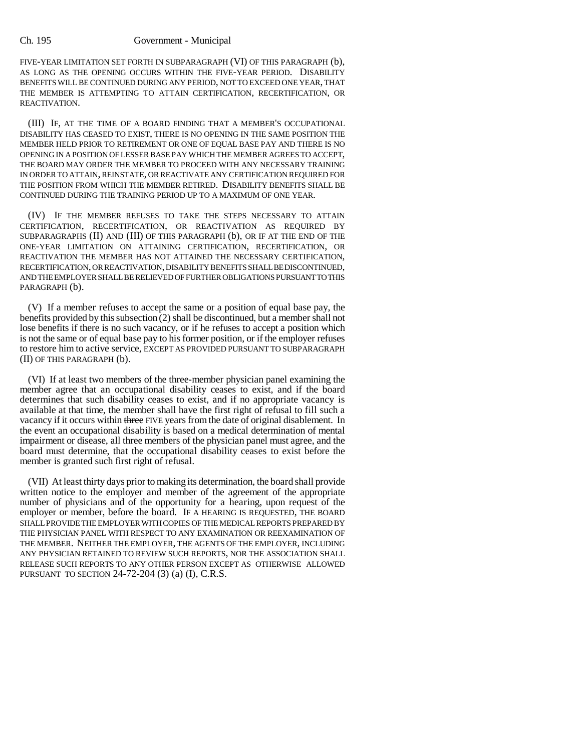## Ch. 195 Government - Municipal

FIVE-YEAR LIMITATION SET FORTH IN SUBPARAGRAPH (VI) OF THIS PARAGRAPH (b), AS LONG AS THE OPENING OCCURS WITHIN THE FIVE-YEAR PERIOD. DISABILITY BENEFITS WILL BE CONTINUED DURING ANY PERIOD, NOT TO EXCEED ONE YEAR, THAT THE MEMBER IS ATTEMPTING TO ATTAIN CERTIFICATION, RECERTIFICATION, OR REACTIVATION.

(III) IF, AT THE TIME OF A BOARD FINDING THAT A MEMBER'S OCCUPATIONAL DISABILITY HAS CEASED TO EXIST, THERE IS NO OPENING IN THE SAME POSITION THE MEMBER HELD PRIOR TO RETIREMENT OR ONE OF EQUAL BASE PAY AND THERE IS NO OPENING IN A POSITION OF LESSER BASE PAY WHICH THE MEMBER AGREES TO ACCEPT, THE BOARD MAY ORDER THE MEMBER TO PROCEED WITH ANY NECESSARY TRAINING IN ORDER TO ATTAIN, REINSTATE, OR REACTIVATE ANY CERTIFICATION REQUIRED FOR THE POSITION FROM WHICH THE MEMBER RETIRED. DISABILITY BENEFITS SHALL BE CONTINUED DURING THE TRAINING PERIOD UP TO A MAXIMUM OF ONE YEAR.

(IV) IF THE MEMBER REFUSES TO TAKE THE STEPS NECESSARY TO ATTAIN CERTIFICATION, RECERTIFICATION, OR REACTIVATION AS REQUIRED BY SUBPARAGRAPHS (II) AND (III) OF THIS PARAGRAPH (b), OR IF AT THE END OF THE ONE-YEAR LIMITATION ON ATTAINING CERTIFICATION, RECERTIFICATION, OR REACTIVATION THE MEMBER HAS NOT ATTAINED THE NECESSARY CERTIFICATION, RECERTIFICATION, OR REACTIVATION, DISABILITY BENEFITS SHALL BE DISCONTINUED, AND THE EMPLOYER SHALL BE RELIEVED OF FURTHER OBLIGATIONS PURSUANT TO THIS PARAGRAPH (b).

(V) If a member refuses to accept the same or a position of equal base pay, the benefits provided by this subsection  $(2)$  shall be discontinued, but a member shall not lose benefits if there is no such vacancy, or if he refuses to accept a position which is not the same or of equal base pay to his former position, or if the employer refuses to restore him to active service, EXCEPT AS PROVIDED PURSUANT TO SUBPARAGRAPH (II) OF THIS PARAGRAPH (b).

(VI) If at least two members of the three-member physician panel examining the member agree that an occupational disability ceases to exist, and if the board determines that such disability ceases to exist, and if no appropriate vacancy is available at that time, the member shall have the first right of refusal to fill such a vacancy if it occurs within three FIVE years from the date of original disablement. In the event an occupational disability is based on a medical determination of mental impairment or disease, all three members of the physician panel must agree, and the board must determine, that the occupational disability ceases to exist before the member is granted such first right of refusal.

(VII) At least thirty days prior to making its determination, the board shall provide written notice to the employer and member of the agreement of the appropriate number of physicians and of the opportunity for a hearing, upon request of the employer or member, before the board. IF A HEARING IS REQUESTED, THE BOARD SHALL PROVIDE THE EMPLOYER WITH COPIES OF THE MEDICAL REPORTS PREPARED BY THE PHYSICIAN PANEL WITH RESPECT TO ANY EXAMINATION OR REEXAMINATION OF THE MEMBER. NEITHER THE EMPLOYER, THE AGENTS OF THE EMPLOYER, INCLUDING ANY PHYSICIAN RETAINED TO REVIEW SUCH REPORTS, NOR THE ASSOCIATION SHALL RELEASE SUCH REPORTS TO ANY OTHER PERSON EXCEPT AS OTHERWISE ALLOWED PURSUANT TO SECTION 24-72-204 (3) (a) (I), C.R.S.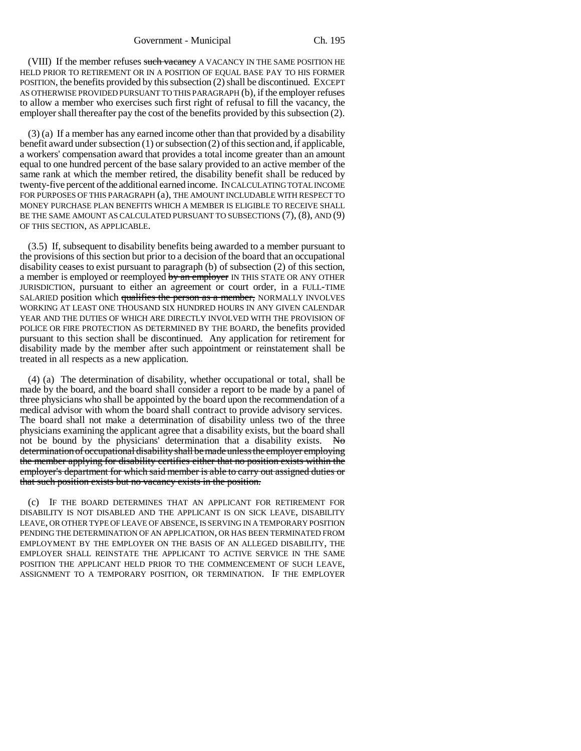Government - Municipal Ch. 195

(VIII) If the member refuses such vacancy A VACANCY IN THE SAME POSITION HE HELD PRIOR TO RETIREMENT OR IN A POSITION OF EQUAL BASE PAY TO HIS FORMER POSITION, the benefits provided by this subsection (2) shall be discontinued. EXCEPT AS OTHERWISE PROVIDED PURSUANT TO THIS PARAGRAPH (b), if the employer refuses to allow a member who exercises such first right of refusal to fill the vacancy, the employer shall thereafter pay the cost of the benefits provided by this subsection (2).

(3) (a) If a member has any earned income other than that provided by a disability benefit award under subsection (1) or subsection (2) of this section and, if applicable, a workers' compensation award that provides a total income greater than an amount equal to one hundred percent of the base salary provided to an active member of the same rank at which the member retired, the disability benefit shall be reduced by twenty-five percent of the additional earned income. IN CALCULATING TOTAL INCOME FOR PURPOSES OF THIS PARAGRAPH (a), THE AMOUNT INCLUDABLE WITH RESPECT TO MONEY PURCHASE PLAN BENEFITS WHICH A MEMBER IS ELIGIBLE TO RECEIVE SHALL BE THE SAME AMOUNT AS CALCULATED PURSUANT TO SUBSECTIONS (7), (8), AND (9) OF THIS SECTION, AS APPLICABLE.

(3.5) If, subsequent to disability benefits being awarded to a member pursuant to the provisions of this section but prior to a decision of the board that an occupational disability ceases to exist pursuant to paragraph (b) of subsection (2) of this section, a member is employed or reemployed by an employer IN THIS STATE OR ANY OTHER JURISDICTION, pursuant to either an agreement or court order, in a FULL-TIME SALARIED position which qualifies the person as a member, NORMALLY INVOLVES WORKING AT LEAST ONE THOUSAND SIX HUNDRED HOURS IN ANY GIVEN CALENDAR YEAR AND THE DUTIES OF WHICH ARE DIRECTLY INVOLVED WITH THE PROVISION OF POLICE OR FIRE PROTECTION AS DETERMINED BY THE BOARD, the benefits provided pursuant to this section shall be discontinued. Any application for retirement for disability made by the member after such appointment or reinstatement shall be treated in all respects as a new application.

(4) (a) The determination of disability, whether occupational or total, shall be made by the board, and the board shall consider a report to be made by a panel of three physicians who shall be appointed by the board upon the recommendation of a medical advisor with whom the board shall contract to provide advisory services. The board shall not make a determination of disability unless two of the three physicians examining the applicant agree that a disability exists, but the board shall not be bound by the physicians' determination that a disability exists. No determination of occupational disability shall be made unless the employer employing the member applying for disability certifies either that no position exists within the employer's department for which said member is able to carry out assigned duties or that such position exists but no vacancy exists in the position.

(c) IF THE BOARD DETERMINES THAT AN APPLICANT FOR RETIREMENT FOR DISABILITY IS NOT DISABLED AND THE APPLICANT IS ON SICK LEAVE, DISABILITY LEAVE, OR OTHER TYPE OF LEAVE OF ABSENCE, IS SERVING IN A TEMPORARY POSITION PENDING THE DETERMINATION OF AN APPLICATION, OR HAS BEEN TERMINATED FROM EMPLOYMENT BY THE EMPLOYER ON THE BASIS OF AN ALLEGED DISABILITY, THE EMPLOYER SHALL REINSTATE THE APPLICANT TO ACTIVE SERVICE IN THE SAME POSITION THE APPLICANT HELD PRIOR TO THE COMMENCEMENT OF SUCH LEAVE, ASSIGNMENT TO A TEMPORARY POSITION, OR TERMINATION. IF THE EMPLOYER